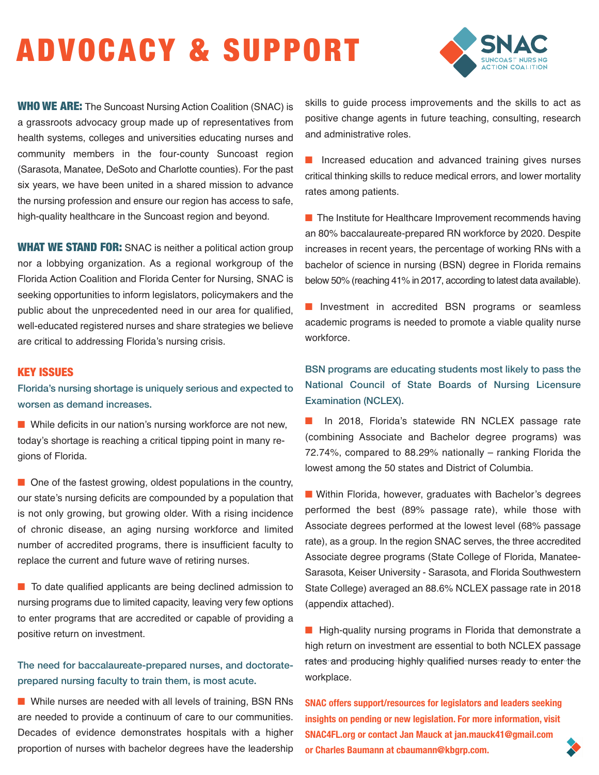## ADVOCACY & SUPPORT



**WHO WE ARE:** The Suncoast Nursing Action Coalition (SNAC) is a grassroots advocacy group made up of representatives from health systems, colleges and universities educating nurses and community members in the four-county Suncoast region (Sarasota, Manatee, DeSoto and Charlotte counties). For the past six years, we have been united in a shared mission to advance the nursing profession and ensure our region has access to safe, high-quality healthcare in the Suncoast region and beyond.

**WHAT WE STAND FOR:** SNAC is neither a political action group nor a lobbying organization. As a regional workgroup of the Florida Action Coalition and Florida Center for Nursing, SNAC is seeking opportunities to inform legislators, policymakers and the public about the unprecedented need in our area for qualified, well-educated registered nurses and share strategies we believe are critical to addressing Florida's nursing crisis.

## KEY ISSUES

Florida's nursing shortage is uniquely serious and expected to worsen as demand increases.

■ While deficits in our nation's nursing workforce are not new, today's shortage is reaching a critical tipping point in many regions of Florida.

 $\blacksquare$  One of the fastest growing, oldest populations in the country, our state's nursing deficits are compounded by a population that is not only growing, but growing older. With a rising incidence of chronic disease, an aging nursing workforce and limited number of accredited programs, there is insufficient faculty to replace the current and future wave of retiring nurses.

■ To date qualified applicants are being declined admission to nursing programs due to limited capacity, leaving very few options to enter programs that are accredited or capable of providing a positive return on investment.

## The need for baccalaureate-prepared nurses, and doctorateprepared nursing faculty to train them, is most acute.

■ While nurses are needed with all levels of training, BSN RNs are needed to provide a continuum of care to our communities. Decades of evidence demonstrates hospitals with a higher proportion of nurses with bachelor degrees have the leadership

skills to guide process improvements and the skills to act as positive change agents in future teaching, consulting, research and administrative roles.

■ Increased education and advanced training gives nurses critical thinking skills to reduce medical errors, and lower mortality rates among patients.

■ The Institute for Healthcare Improvement recommends having an 80% baccalaureate-prepared RN workforce by 2020. Despite increases in recent years, the percentage of working RNs with a bachelor of science in nursing (BSN) degree in Florida remains below 50% (reaching 41% in 2017, according to latest data available).

■ Investment in accredited BSN programs or seamless academic programs is needed to promote a viable quality nurse workforce.

BSN programs are educating students most likely to pass the National Council of State Boards of Nursing Licensure Examination (NCLEX).

■ In 2018, Florida's statewide RN NCLEX passage rate (combining Associate and Bachelor degree programs) was 72.74%, compared to 88.29% nationally – ranking Florida the lowest among the 50 states and District of Columbia.

■ Within Florida, however, graduates with Bachelor's degrees performed the best (89% passage rate), while those with Associate degrees performed at the lowest level (68% passage rate), as a group. In the region SNAC serves, the three accredited Associate degree programs (State College of Florida, Manatee-Sarasota, Keiser University - Sarasota, and Florida Southwestern State College) averaged an 88.6% NCLEX passage rate in 2018 (appendix attached).

■ High-quality nursing programs in Florida that demonstrate a high return on investment are essential to both NCLEX passage rates and producing highly qualified nurses ready to enter the workplace.

**SNAC offers support/resources for legislators and leaders seeking insights on pending or new legislation. For more information, visit SNAC4FL.org or contact Jan Mauck at jan.mauck41@gmail.com or Charles Baumann at cbaumann@kbgrp.com.**